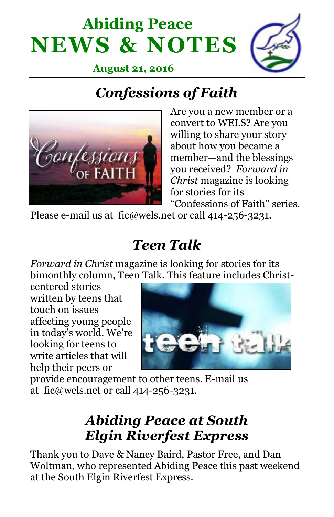# **Abiding Peace NEWS & NOTES**



 **August 21, 2016**

# *Confessions of Faith*



Are you a new member or a convert to WELS? Are you willing to share your story about how you became a member—and the blessings you received? *Forward in Christ* magazine is looking for stories for its "Confessions of Faith" series.

Please e-mail us at fic@wels.net or call 414-256-3231.

## *Teen Talk*

*Forward in Christ* magazine is looking for stories for its bimonthly column, Teen Talk. This feature includes Christ-

centered stories written by teens that touch on issues affecting young people in today's world. We're looking for teens to write articles that will help their peers or



provide encouragement to other teens. E-mail us at fic@wels.net or call 414-256-3231.

### *Abiding Peace at South Elgin Riverfest Express*

Thank you to Dave & Nancy Baird, Pastor Free, and Dan Woltman, who represented Abiding Peace this past weekend at the South Elgin Riverfest Express.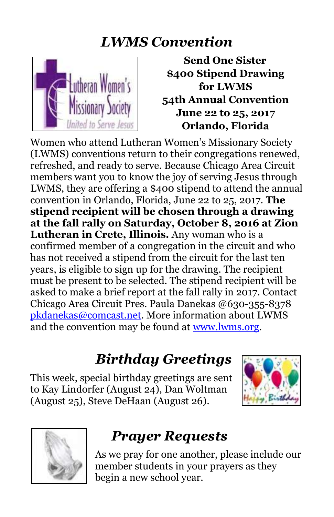#### *LWMS Convention*



**Send One Sister \$400 Stipend Drawing for LWMS 54th Annual Convention June 22 to 25, 2017 Orlando, Florida**

Women who attend Lutheran Women's Missionary Society (LWMS) conventions return to their congregations renewed, refreshed, and ready to serve. Because Chicago Area Circuit members want you to know the joy of serving Jesus through LWMS, they are offering a \$400 stipend to attend the annual convention in Orlando, Florida, June 22 to 25, 2017. **The stipend recipient will be chosen through a drawing at the fall rally on Saturday, October 8, 2016 at Zion Lutheran in Crete, Illinois.** Any woman who is a confirmed member of a congregation in the circuit and who has not received a stipend from the circuit for the last ten years, is eligible to sign up for the drawing. The recipient must be present to be selected. The stipend recipient will be asked to make a brief report at the fall rally in 2017. Contact Chicago Area Circuit Pres. Paula Danekas @630-355-8378 [pkdanekas@comcast.net.](mailto:pkdanekas@comcast.net) More information about LWMS and the convention may be found at [www.lwms.org.](http://www.lwms.org/)

#### *Birthday Greetings*

This week, special birthday greetings are sent to Kay Lindorfer (August 24), Dan Woltman (August 25), Steve DeHaan (August 26).





## *Prayer Requests*

As we pray for one another, please include our member students in your prayers as they begin a new school year.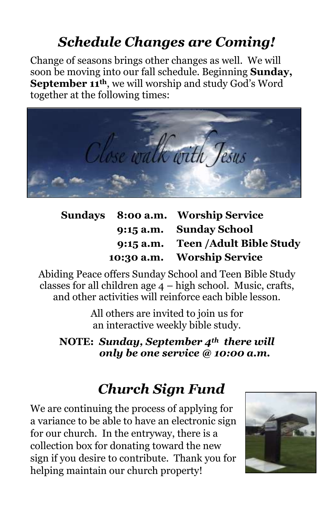## *Schedule Changes are Coming!*

Change of seasons brings other changes as well. We will soon be moving into our fall schedule. Beginning **Sunday, September 11th**, we will worship and study God's Word together at the following times:



|  | Sundays 8:00 a.m. Worship Service  |
|--|------------------------------------|
|  | 9:15 a.m. Sunday School            |
|  | 9:15 a.m. Teen / Adult Bible Study |
|  | 10:30 a.m. Worship Service         |

Abiding Peace offers Sunday School and Teen Bible Study classes for all children age 4 – high school. Music, crafts, and other activities will reinforce each bible lesson.

> All others are invited to join us for an interactive weekly bible study.

**NOTE:** *Sunday, September 4th there will only be one service @ 10:00 a.m.*

## *Church Sign Fund*

We are continuing the process of applying for a variance to be able to have an electronic sign for our church. In the entryway, there is a collection box for donating toward the new sign if you desire to contribute. Thank you for helping maintain our church property!